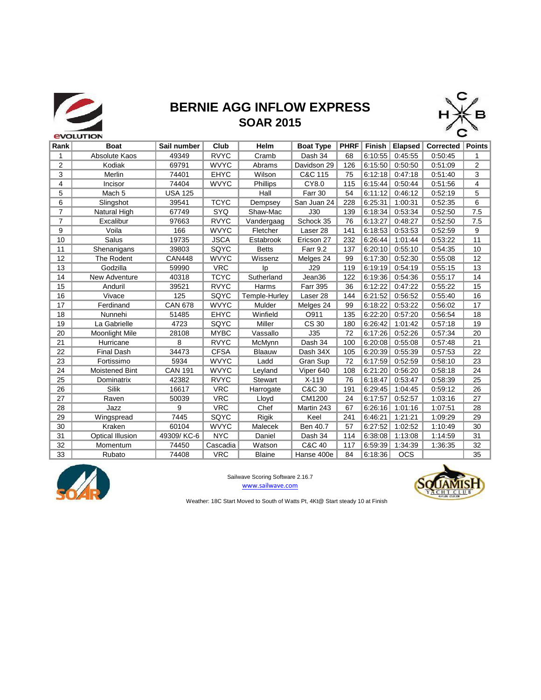

# **BERNIE AGG INFLOW EXPRESS**<br>SOAR 2015 **SOAR 2015**



| Rank           | <b>Boat</b>           | Sail number    | Club        | Helm           | <b>Boat Type</b> | PHRF | Finish  | Elapsed    | Corrected | Points         |
|----------------|-----------------------|----------------|-------------|----------------|------------------|------|---------|------------|-----------|----------------|
| 1              |                       | 49349          | <b>RVYC</b> |                | Dash 34          |      | 6:10:55 | 0:45:55    |           |                |
|                | Absolute Kaos         |                |             | Cramb          |                  | 68   |         |            | 0:50:45   | 1              |
| 2              | Kodiak                | 69791          | <b>WVYC</b> | Abrams         | Davidson 29      | 126  | 6:15:50 | 0:50:50    | 0:51:09   | $\overline{2}$ |
| 3              | Merlin                | 74401          | <b>EHYC</b> | Wilson         | C&C 115          | 75   | 6:12:18 | 0:47:18    | 0:51:40   | 3              |
| 4              | Incisor               | 74404          | <b>WVYC</b> | Phillips       | CY8.0            | 115  | 6:15:44 | 0:50:44    | 0:51:56   | $\overline{4}$ |
| 5              | Mach <sub>5</sub>     | <b>USA 125</b> |             | Hall           | Farr 30          | 54   | 6:11:12 | 0:46:12    | 0:52:19   | 5              |
| 6              | Slingshot             | 39541          | <b>TCYC</b> | Dempsey        | San Juan 24      | 228  | 6:25:31 | 1:00:31    | 0:52:35   | 6              |
| $\overline{7}$ | Natural High          | 67749          | SYQ         | Shaw-Mac       | J30              | 139  | 6:18:34 | 0:53:34    | 0:52:50   | 7.5            |
| $\overline{7}$ | Excalibur             | 97663          | <b>RVYC</b> | Vandergaag     | Schock 35        | 76   | 6:13:27 | 0:48:27    | 0:52:50   | 7.5            |
| 9              | Voila                 | 166            | <b>WVYC</b> | Fletcher       | Laser 28         | 141  | 6:18:53 | 0:53:53    | 0:52:59   | 9              |
| 10             | Salus                 | 19735          | <b>JSCA</b> | Estabrook      | Ericson 27       | 232  | 6:26:44 | 1:01:44    | 0:53:22   | 11             |
| 11             | Shenanigans           | 39803          | SQYC        | <b>Betts</b>   | <b>Farr 9.2</b>  | 137  | 6:20:10 | 0:55:10    | 0:54:35   | 10             |
| 12             | The Rodent            | <b>CAN448</b>  | <b>WVYC</b> | Wissenz        | Melges 24        | 99   | 6:17:30 | 0:52:30    | 0:55:08   | 12             |
| 13             | Godzilla              | 59990          | <b>VRC</b>  | Ip             | J29              | 119  | 6:19:19 | 0:54:19    | 0:55:15   | 13             |
| 14             | New Adventure         | 40318          | <b>TCYC</b> | Sutherland     | Jean36           | 122  | 6:19:36 | 0:54:36    | 0:55.17   | 14             |
| 15             | Anduril               | 39521          | <b>RVYC</b> | Harms          | <b>Farr 395</b>  | 36   | 6:12:22 | 0:47:22    | 0:55:22   | 15             |
| 16             | Vivace                | 125            | SQYC        | Temple-Hurley  | Laser 28         | 144  | 6:21:52 | 0:56:52    | 0:55:40   | 16             |
| 17             | Ferdinand             | <b>CAN 678</b> | <b>WVYC</b> | Mulder         | Melges 24        | 99   | 6:18:22 | 0:53:22    | 0:56:02   | 17             |
| 18             | Nunnehi               | 51485          | <b>EHYC</b> | Winfield       | O911             | 135  | 6:22:20 | 0:57:20    | 0:56:54   | 18             |
| 19             | La Gabrielle          | 4723           | SQYC        | Miller         | <b>CS 30</b>     | 180  | 6:26:42 | 1:01:42    | 0:57:18   | 19             |
| 20             | <b>Moonlight Mile</b> | 28108          | <b>MYBC</b> | Vassallo       | J35              | 72   | 6:17:26 | 0:52:26    | 0:57:34   | 20             |
| 21             | Hurricane             | 8              | <b>RVYC</b> | McMynn         | Dash 34          | 100  | 6:20:08 | 0:55:08    | 0:57:48   | 21             |
| 22             | <b>Final Dash</b>     | 34473          | <b>CFSA</b> | Blaauw         | Dash 34X         | 105  | 6:20:39 | 0:55:39    | 0:57:53   | 22             |
| 23             | Fortissimo            | 5934           | <b>WVYC</b> | Ladd           | Gran Sup         | 72   | 6:17:59 | 0:52:59    | 0:58:10   | 23             |
| 24             | Moistened Bint        | <b>CAN 191</b> | <b>WVYC</b> | Leyland        | Viper 640        | 108  | 6:21:20 | 0:56:20    | 0:58:18   | 24             |
| 25             | Dominatrix            | 42382          | <b>RVYC</b> | <b>Stewart</b> | $X-119$          | 76   | 6:18:47 | 0:53:47    | 0:58:39   | 25             |
| 26             | <b>Silik</b>          | 16617          | <b>VRC</b>  | Harrogate      | C&C 30           | 191  | 6:29:45 | 1:04:45    | 0:59:12   | 26             |
| 27             | Raven                 | 50039          | <b>VRC</b>  | Lloyd          | CM1200           | 24   | 6:17:57 | 0:52:57    | 1:03:16   | 27             |
| 28             | Jazz                  | 9              | <b>VRC</b>  | Chef           | Martin 243       | 67   | 6:26:16 | 1:01:16    | 1:07:51   | 28             |
| 29             | Wingspread            | 7445           | SQYC        | Rigik          | Keel             | 241  | 6:46:21 | 1:21:21    | 1:09:29   | 29             |
| 30             | Kraken                | 60104          | <b>WVYC</b> | Malecek        | Ben 40.7         | 57   | 6:27:52 | 1:02:52    | 1:10:49   | 30             |
| 31             | Optical Illusion      | 49309/KC-6     | <b>NYC</b>  | Daniel         | Dash 34          | 114  | 6:38:08 | 1:13:08    | 1:14:59   | 31             |
| 32             | Momentum              | 74450          | Cascadia    | Watson         | C&C 40           | 117  | 6:59:39 | 1:34:39    | 1:36:35   | 32             |
| 33             | Rubato                | 74408          | <b>VRC</b>  | <b>Blaine</b>  | Hanse 400e       | 84   | 6:18:36 | <b>OCS</b> |           | 35             |



Sailwave Scoring Software 2.16.7 www.sailwave.com



Weather: 18C Start Moved to South of Watts Pt, 4Kt@ Start steady 10 at Finish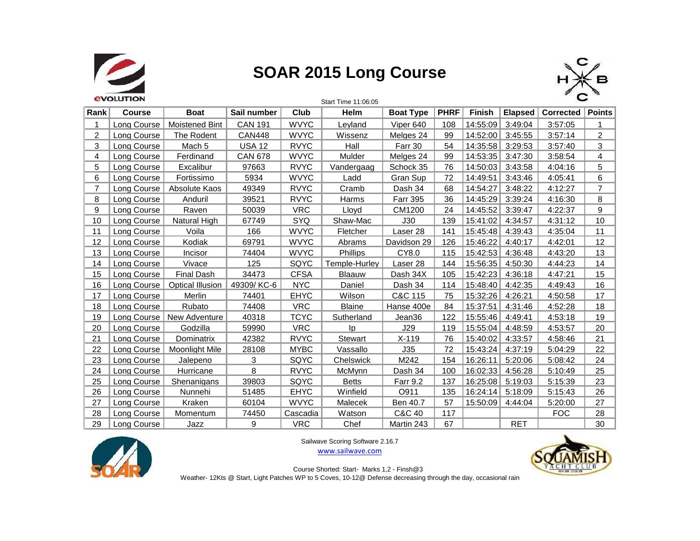

### **SOAR 2015 Long Course**



|                | <b><i><u>EVOLUTION</u></i></b> |                       |                |             | Start Time 11:06:05 |                  |             |                  |                |                           |                |
|----------------|--------------------------------|-----------------------|----------------|-------------|---------------------|------------------|-------------|------------------|----------------|---------------------------|----------------|
| Rank           | <b>Course</b>                  | <b>Boat</b>           | Sail number    | Club        | Helm                | <b>Boat Type</b> | <b>PHRF</b> | Finish           | <b>Elapsed</b> | <b>Corrected   Points</b> |                |
| 1              | Long Course                    | Moistened Bint        | <b>CAN 191</b> | <b>WVYC</b> | Levland             | Viper 640        | 108         | 14:55:09         | 3:49:04        | 3:57:05                   | 1              |
| $\overline{c}$ | Long Course                    | The Rodent            | <b>CAN448</b>  | <b>WVYC</b> | Wissenz             | Melges 24        | 99          | 14:52:00         | 3:45:55        | 3:57:14                   | $\overline{2}$ |
| 3              | Long Course                    | Mach 5                | <b>USA 12</b>  | <b>RVYC</b> | Hall                | Farr 30          | 54          | 14:35:58 3:29:53 |                | 3:57:40                   | 3              |
| 4              | Long Course                    | Ferdinand             | <b>CAN 678</b> | <b>WVYC</b> | Mulder              | Melges 24        | 99          | 14:53:35         | 3:47:30        | 3:58:54                   | 4              |
| 5              | Long Course                    | Excalibur             | 97663          | <b>RVYC</b> | Vandergaag          | Schock 35        | 76          | 14:50:03         | 3:43:58        | 4:04:16                   | 5              |
| 6              | Long Course                    | Fortissimo            | 5934           | <b>WVYC</b> | Ladd                | Gran Sup         | 72          | 14:49:51         | 3:43:46        | 4:05:41                   | 6              |
| $\overline{7}$ | Long Course                    | Absolute Kaos         | 49349          | <b>RVYC</b> | Cramb               | Dash 34          | 68          | 14:54:27         | 3:48:22        | 4:12:27                   | $\overline{7}$ |
| 8              | Long Course                    | Anduril               | 39521          | <b>RVYC</b> | Harms               | <b>Farr 395</b>  | 36          | 14:45:29         | 3:39:24        | 4:16:30                   | 8              |
| 9              | Long Course                    | Raven                 | 50039          | <b>VRC</b>  | Lloyd               | CM1200           | 24          | 14:45:52         | 3:39:47        | 4:22:37                   | 9              |
| 10             | Long Course                    | <b>Natural High</b>   | 67749          | <b>SYQ</b>  | Shaw-Mac            | J30              | 139         | 15:41:02         | 4:34:57        | 4:31:12                   | 10             |
| 11             | Long Course                    | Voila                 | 166            | <b>WVYC</b> | <b>Fletcher</b>     | Laser 28         | 141         | 15:45:48         | 4:39:43        | 4:35:04                   | 11             |
| 12             | Long Course                    | Kodiak                | 69791          | <b>WVYC</b> | Abrams              | Davidson 29      | 126         | 15:46:22         | 4:40:17        | 4:42:01                   | 12             |
| 13             | Long Course                    | Incisor               | 74404          | <b>WVYC</b> | Phillips            | CY8.0            | 115         | 15:42:53         | 4:36:48        | 4:43:20                   | 13             |
| 14             | Long Course                    | Vivace                | 125            | SQYC        | Temple-Hurley       | Laser 28         | 144         | 15:56:35         | 4:50:30        | 4:44:23                   | 14             |
| 15             | Long Course                    | <b>Final Dash</b>     | 34473          | <b>CFSA</b> | Blaauw              | Dash 34X         | 105         | 15:42:23         | 4:36:18        | 4:47:21                   | 15             |
| 16             | Long Course                    | Optical Illusion      | 49309/KC-6     | <b>NYC</b>  | Daniel              | Dash 34          | 114         | 15:48:40         | 4:42:35        | 4:49:43                   | 16             |
| 17             | Long Course                    | Merlin                | 74401          | <b>EHYC</b> | Wilson              | C&C 115          | 75          | 15:32:26         | 4:26:21        | 4:50:58                   | 17             |
| 18             | Long Course                    | Rubato                | 74408          | <b>VRC</b>  | <b>Blaine</b>       | Hanse 400e       | 84          | 15:37:51         | 4:31:46        | 4:52:28                   | 18             |
| 19             | Long Course                    | New Adventure         | 40318          | <b>TCYC</b> | Sutherland          | Jean36           | 122         | 15:55:46         | 4:49:41        | 4:53:18                   | 19             |
| 20             | Long Course                    | Godzilla              | 59990          | <b>VRC</b>  | lp                  | J29              | 119         | 15:55:04         | 4:48:59        | 4:53:57                   | 20             |
| 21             | Long Course                    | Dominatrix            | 42382          | <b>RVYC</b> | Stewart             | $X-119$          | 76          | 15:40:02         | 4:33:57        | 4:58:46                   | 21             |
| 22             | Long Course                    | <b>Moonlight Mile</b> | 28108          | <b>MYBC</b> | Vassallo            | <u>J35</u>       | 72          | 15:43:24         | 4:37:19        | 5:04:29                   | 22             |
| 23             | Long Course                    | Jalepeno              | 3              | SQYC        | <b>Chelswick</b>    | M242             | 154         | 16:26:11         | 5:20:06        | 5:08:42                   | 24             |
| 24             | Long Course                    | Hurricane             | 8              | <b>RVYC</b> | McMynn              | Dash 34          | 100         | 16:02:33         | 4:56:28        | 5:10:49                   | 25             |
| 25             | Long Course                    | Shenanigans           | 39803          | SQYC        | <b>Betts</b>        | <b>Farr 9.2</b>  | 137         | 16:25:08 5:19:03 |                | 5:15:39                   | 23             |
| 26             | Long Course                    | Nunnehi               | 51485          | <b>EHYC</b> | Winfield            | O911             | 135         | 16:24:14 5:18:09 |                | 5:15:43                   | 26             |
| 27             | Long Course                    | Kraken                | 60104          | <b>WVYC</b> | <b>Malecek</b>      | Ben 40.7         | 57          | 15:50:09         | 4:44:04        | 5:20:00                   | 27             |
| 28             | Long Course                    | Momentum              | 74450          | Cascadia    | Watson              | C&C 40           | 117         |                  |                | <b>FOC</b>                | 28             |
| 29             | Long Course                    | Jazz                  | 9              | <b>VRC</b>  | Chef                | Martin 243       | 67          |                  | <b>RET</b>     |                           | 30             |



Sailwave Scoring Software 2.16.7 www.sailwave.com



Course Shorted: Start- Marks 1,2 - Finsh@3

Weather- 12Kts @ Start, Light Patches WP to 5 Coves, 10-12@ Defense decreasing through the day, occasional rain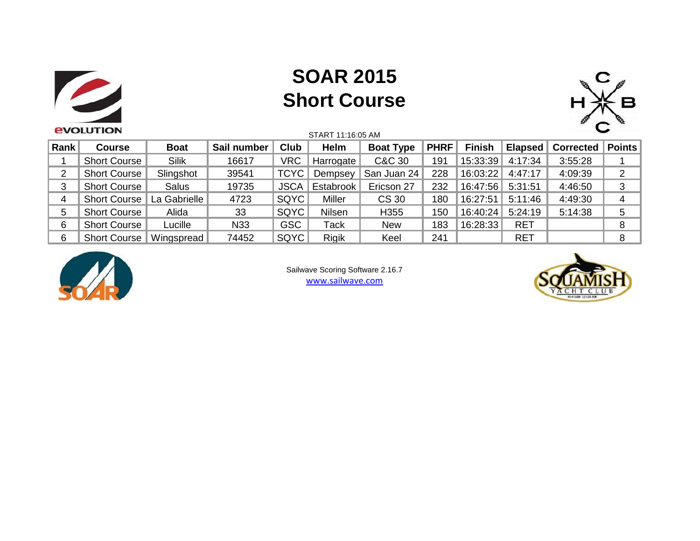

## **SOAR 2015 Short Course**



|      | <b>EVOLUTION</b>    |              |             |             | START 11:16:05 AM |                  |             |               | ՝          |           |                       |  |
|------|---------------------|--------------|-------------|-------------|-------------------|------------------|-------------|---------------|------------|-----------|-----------------------|--|
| Rank | <b>Course</b>       | <b>Boat</b>  | Sail number | Club        | Helm              | <b>Boat Type</b> | <b>PHRF</b> | <b>Finish</b> | Elapsed    | Corrected | <sup>∖</sup> Points ∖ |  |
|      | Short Course        | <b>Silik</b> | 16617       | <b>VRC</b>  | Harrogate         | C&C 30           | 191         | 15:33:39      | 4:17:34    | 3:55:28   |                       |  |
| 2    | <b>Short Course</b> | Slingshot    | 39541       | TCYC        | Dempsey           | San Juan 24      | 228         | 16:03:22      | 4:47:17    | 4:09:39   | 2                     |  |
| 3    | <b>Short Course</b> | Salus        | 19735       | <b>JSCA</b> | Estabrook         | Ericson 27       | 232         | 16:47:56      | 5:31:51    | 4:46:50   | 3                     |  |
| 4    | <b>Short Course</b> | La Gabrielle | 4723        | SQYC        | <b>Miller</b>     | CS 30            | 180         | 16:27:51      | 5:11:46    | 4:49:30   | 4                     |  |
| 5    | <b>Short Course</b> | Alida        | 33          | SQYC        | Nilsen            | H355             | 150         | 16:40:24      | 5:24:19    | 5:14:38   | 5                     |  |
| 6    | <b>Short Course</b> | Lucille      | N33         | <b>GSC</b>  | Tack              | <b>New</b>       | 183         | 16:28:33      | <b>RET</b> |           | 8                     |  |
| 6    | <b>Short Course</b> | Wingspread   | 74452       | SQYC        | <b>Rigik</b>      | Keel             | 241         |               | <b>RET</b> |           | 8                     |  |



Sailwave Scoring Software 2.16.7 www.sailwave.com

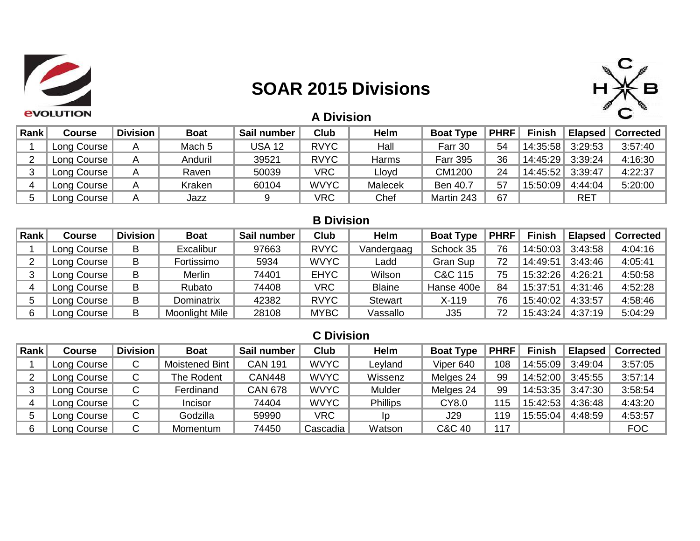

### **SOAR 2015 Divisions**



| <b>A Division</b> |  |
|-------------------|--|
|                   |  |

| Rank | Course      | <b>Division</b> | <b>Boat</b> | Sail number   | <b>Club</b> | <b>Helm</b> | <b>Boat Type</b> | <b>PHRF</b> | <b>Finish</b>      | Elapsed $\parallel$ | <b>Corrected</b> |
|------|-------------|-----------------|-------------|---------------|-------------|-------------|------------------|-------------|--------------------|---------------------|------------------|
|      | Long Course |                 | Mach 5      | <b>USA 12</b> | <b>RVYC</b> | Hall        | Farr 30          | 54          | 14:35:58   3:29:53 |                     | 3:57:40          |
|      | Long Course |                 | Anduril     | 39521         | <b>RVYC</b> | Harms       | <b>Farr 395</b>  | 36          | 14:45:29   3:39:24 |                     | 4:16:30          |
|      | Long Course |                 | Raven       | 50039         | <b>VRC</b>  | Lloyd       | CM1200           | 24          | 14:45:52 3:39:47   |                     | 4:22:37          |
|      | Long Course |                 | Kraken      | 60104         | <b>WVYC</b> | Malecek     | Ben 40.7         | 57          | 15:50:09           | 4:44:04             | 5:20:00          |
|      | Long Course |                 | Jazz        |               | <b>VRC</b>  | Chef        | Martin 243       | 67          |                    | <b>RET</b>          |                  |

#### **B Division**

| Rank | Course      | <b>Division</b> | <b>Boat</b>    | Sail number | <b>Club</b> | Helm           | <b>Boat Type</b> | <b>PHRF</b> | <b>Finish</b> | <b>Elapsed</b> | <b>Corrected</b> |
|------|-------------|-----------------|----------------|-------------|-------------|----------------|------------------|-------------|---------------|----------------|------------------|
|      | Long Course | B               | Excalibur      | 97663       | <b>RVYC</b> | Vandergaag     | Schock 35        | 76          | 14:50:03      | 3:43:58        | 4:04:16          |
|      | Long Course | B               | Fortissimo     | 5934        | <b>WVYC</b> | Ladd           | Gran Sup         | 72          | 14:49:51      | 3:43:46        | 4:05:41          |
|      | Long Course | В               | Merlin         | 74401       | <b>EHYC</b> | Wilson         | C&C 115          | 75          | 15:32:26      | 4:26:21        | 4:50:58          |
|      | Long Course | B               | Rubato         | 74408       | VRC         | <b>Blaine</b>  | Hanse 400e       | 84          | 15:37:51      | 4:31:46        | 4:52:28          |
|      | Long Course | B               | Dominatrix     | 42382       | <b>RVYC</b> | <b>Stewart</b> | $X-119$          | 76          | 15:40:02      | 4:33:57        | 4:58:46          |
|      | Long Course | в               | Moonlight Mile | 28108       | <b>MYBC</b> | Vassallo       | J35              | 72          | 15:43:24      | 4:37:19        | 5:04:29          |

#### **C Division**

| Rank | Course      | <b>Division</b> | <b>Boat</b>    | Sail number    | <b>Club</b> | Helm            | <b>Boat Type</b> | <b>PHRF</b> | <b>Finish</b>      | <b>Elapsed</b> | <b>Corrected</b> |
|------|-------------|-----------------|----------------|----------------|-------------|-----------------|------------------|-------------|--------------------|----------------|------------------|
|      | Long Course | ◡               | Moistened Bint | <b>CAN 191</b> | <b>WVYC</b> | Leyland         | Viper 640        | 108         | 14:55:09           | 3:49:04        | 3:57:05          |
|      | Long Course |                 | The Rodent     | <b>CAN448</b>  | <b>WVYC</b> | Wissenz         | Melges 24        | 99          | 14:52:00           | 3:45:55        | 3:57:14          |
|      | Long Course |                 | Ferdinand      | <b>CAN 678</b> | <b>WVYC</b> | Mulder          | Melges 24        | 99          | 14:53:35   3:47:30 |                | 3:58:54          |
|      | Long Course |                 | Incisor        | 74404          | <b>WVYC</b> | <b>Phillips</b> | CY8.0            | 115         | 15:42:53           | 4:36:48        | 4:43:20          |
|      | Long Course |                 | Godzilla       | 59990          | <b>VRC</b>  | Ip              | J29              | 119         | 15:55:04           | 4:48:59        | 4:53:57          |
|      | Long Course |                 | Momentum       | 74450          | Cascadia    | Watson          | C&C 40           | 117         |                    |                | <b>FOC</b>       |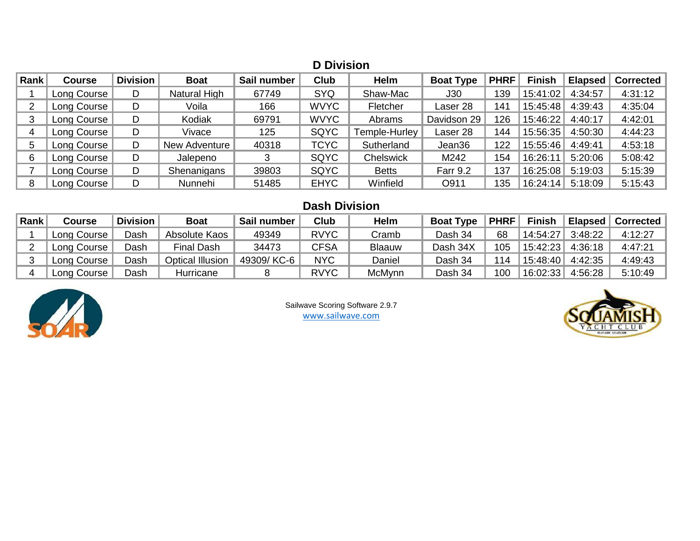|      | <b>D</b> Division |                 |               |             |             |               |                  |             |               |                |                  |  |  |  |
|------|-------------------|-----------------|---------------|-------------|-------------|---------------|------------------|-------------|---------------|----------------|------------------|--|--|--|
| Rank | Course            | <b>Division</b> | <b>Boat</b>   | Sail number | <b>Club</b> | Helm          | <b>Boat Type</b> | <b>PHRF</b> | <b>Finish</b> | <b>Elapsed</b> | <b>Corrected</b> |  |  |  |
|      | Long Course       | D               | Natural High  | 67749       | <b>SYQ</b>  | Shaw-Mac      | J30              | 139         | 15:41:02      | 4:34:57        | 4:31:12          |  |  |  |
|      | Long Course       | D               | Voila         | 166         | <b>WVYC</b> | Fletcher      | Laser 28         | 141         | 15:45:48      | 4:39:43        | 4:35:04          |  |  |  |
| 3    | Long Course       | D               | Kodiak        | 69791       | <b>WVYC</b> | Abrams        | Davidson 29      | 126         | 15:46:22      | 4:40:17        | 4:42:01          |  |  |  |
|      | Long Course       | D               | Vivace        | 125         | SQYC        | Temple-Hurley | Laser 28         | 144         | 15:56:35      | 4:50:30        | 4:44:23          |  |  |  |
| 5    | Long Course       | D               | New Adventure | 40318       | <b>TCYC</b> | Sutherland    | Jean36           | 122         | 15:55:46      | 4:49:41        | 4:53:18          |  |  |  |
| 6    | Long Course       | D               | Jalepeno      |             | SQYC        | Chelswick     | M242             | 154         | 16:26:11      | 5:20:06        | 5:08:42          |  |  |  |
|      | Long Course       | D.              | Shenanigans   | 39803       | SQYC        | <b>Betts</b>  | <b>Farr 9.2</b>  | 137         | 16:25:08      | 5:19:03        | 5:15:39          |  |  |  |
| 8    | Long Course       | D               | Nunnehi       | 51485       | <b>EHYC</b> | Winfield      | O911             | 135         | 16:24:14      | 5:18:09        | 5:15:43          |  |  |  |

#### **Dash Division**

| Rank | Course      | <b>Division</b> | <b>Boat</b>       | Sail number | <b>Club</b> | <b>Helm</b> | <b>Boat Type</b> | <b>PHRF</b> | Finish             | Elapsed | <b>Corrected</b> |
|------|-------------|-----------------|-------------------|-------------|-------------|-------------|------------------|-------------|--------------------|---------|------------------|
|      | Long Course | Dash            | Absolute Kaos     | 49349       | <b>RVYC</b> | Cramb       | Dash 34          | 68          | 14:54:27           | 3:48:22 | 4:12:27          |
|      | Long Course | Dash            | <b>Final Dash</b> | 34473       | CFSA        | Blaauw      | Dash 34X         | 105         | 15:42:23   4:36:18 |         | 4:47:21          |
|      | Long Course | Dash            | Optical Illusion  | 49309/ KC-6 | <b>NYC</b>  | Daniel      | Dash 34          | 114         | 15:48:40   4:42:35 |         | 4:49:43          |
|      | Long Course | Dash            | Hurricane         |             | <b>RVYC</b> | McMynn      | Dash 34          | 100         | 16:02:33           | 4:56:28 | 5:10:49          |



Sailwave Scoring Software 2.9.7 www.sailwave.com

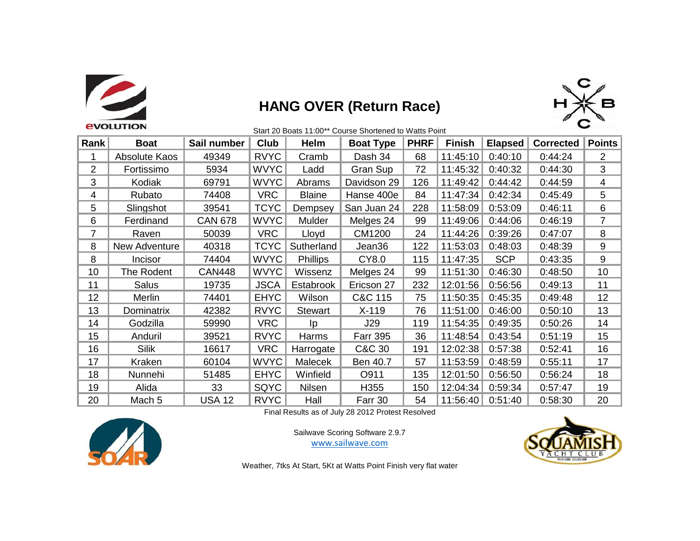

### **HANG OVER (Return Race)**



|                | evolution         |                |             |                 |                  |             |               |                |                  |               |
|----------------|-------------------|----------------|-------------|-----------------|------------------|-------------|---------------|----------------|------------------|---------------|
| Rank           | <b>Boat</b>       | Sail number    | Club        | Helm            | <b>Boat Type</b> | <b>PHRF</b> | <b>Finish</b> | <b>Elapsed</b> | <b>Corrected</b> | <b>Points</b> |
|                | Absolute Kaos     | 49349          | <b>RVYC</b> | Cramb           | Dash 34          | 68          | 11:45:10      | 0:40:10        | 0:44:24          | 2             |
| $\overline{2}$ | Fortissimo        | 5934           | <b>WVYC</b> | Ladd            | Gran Sup         | 72          | 11:45:32      | 0:40:32        | 0:44:30          | 3             |
| 3              | Kodiak            | 69791          | <b>WVYC</b> | Abrams          | Davidson 29      | 126         | 11:49:42      | 0:44:42        | 0:44:59          | 4             |
| 4              | Rubato            | 74408          | <b>VRC</b>  | <b>Blaine</b>   | Hanse 400e       | 84          | 11:47:34      | 0:42:34        | 0:45:49          | 5             |
| 5              | Slingshot         | 39541          | <b>TCYC</b> | Dempsey         | San Juan 24      | 228         | 11:58:09      | 0:53:09        | 0:46:11          | 6             |
| 6              | Ferdinand         | <b>CAN 678</b> | <b>WVYC</b> | Mulder          | Melges 24        | 99          | 11:49:06      | 0:44:06        | 0:46:19          | 7             |
| 7              | Raven             | 50039          | <b>VRC</b>  | Lloyd           | CM1200           | 24          | 11:44:26      | 0:39:26        | 0:47:07          | 8             |
| 8              | New Adventure     | 40318          | <b>TCYC</b> | Sutherland      | Jean36           | 122         | 11:53:03      | 0:48:03        | 0:48:39          | 9             |
| 8              | Incisor           | 74404          | <b>WVYC</b> | <b>Phillips</b> | CY8.0            | 115         | 11:47:35      | <b>SCP</b>     | 0:43:35          | 9             |
| 10             | The Rodent        | <b>CAN448</b>  | <b>WVYC</b> | Wissenz         | Melges 24        | 99          | 11:51:30      | 0:46:30        | 0:48:50          | 10            |
| 11             | Salus             | 19735          | <b>JSCA</b> | Estabrook       | Ericson 27       | 232         | 12:01:56      | 0:56:56        | 0:49:13          | 11            |
| 12             | Merlin            | 74401          | <b>EHYC</b> | Wilson          | C&C 115          | 75          | 11:50:35      | 0:45:35        | 0:49:48          | 12            |
| 13             | Dominatrix        | 42382          | <b>RVYC</b> | <b>Stewart</b>  | $X-119$          | 76          | 11:51:00      | 0:46:00        | 0:50:10          | 13            |
| 14             | Godzilla          | 59990          | <b>VRC</b>  | Ip              | J29              | 119         | 11:54:35      | 0:49:35        | 0:50:26          | 14            |
| 15             | Anduril           | 39521          | <b>RVYC</b> | Harms           | <b>Farr 395</b>  | 36          | 11:48:54      | 0:43:54        | 0:51:19          | 15            |
| 16             | <b>Silik</b>      | 16617          | <b>VRC</b>  | Harrogate       | C&C 30           | 191         | 12:02:38      | 0:57:38        | 0:52:41          | 16            |
| 17             | Kraken            | 60104          | <b>WVYC</b> | Malecek         | Ben 40.7         | 57          | 11:53:59      | 0:48:59        | 0:55:11          | 17            |
| 18             | Nunnehi           | 51485          | <b>EHYC</b> | Winfield        | O911             | 135         | 12:01:50      | 0:56:50        | 0:56:24          | 18            |
| 19             | Alida             | 33             | SQYC        | Nilsen          | H355             | 150         | 12:04:34      | 0:59:34        | 0:57:47          | 19            |
| 20             | Mach <sub>5</sub> | <b>USA 12</b>  | <b>RVYC</b> | Hall            | Farr 30          | 54          | 11:56:40      | 0:51:40        | 0:58:30          | 20            |

Final Results as of July 28 2012 Protest Resolved



Sailwave Scoring Software 2.9.7 www.sailwave.com



Weather, 7tks At Start, 5Kt at Watts Point Finish very flat water